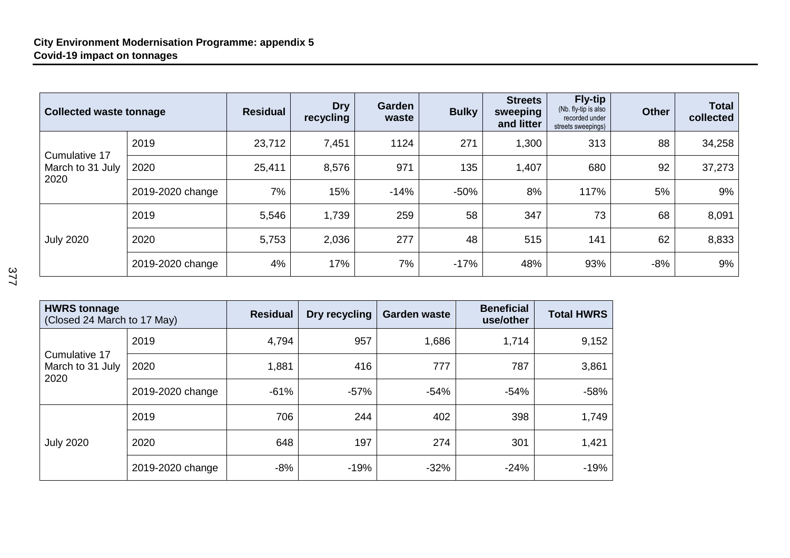| <b>Collected waste tonnage</b>            |                  | <b>Residual</b> | <b>Dry</b><br>recycling | Garden<br>waste | <b>Bulky</b> | <b>Streets</b><br>sweeping<br>and litter | <b>Fly-tip</b><br>(Nb. fly-tip is also<br>recorded under<br>streets sweepings) | <b>Other</b> | <b>Total</b><br>collected |
|-------------------------------------------|------------------|-----------------|-------------------------|-----------------|--------------|------------------------------------------|--------------------------------------------------------------------------------|--------------|---------------------------|
| Cumulative 17<br>March to 31 July<br>2020 | 2019             | 23,712          | 7,451                   | 1124            | 271          | 1,300                                    | 313                                                                            | 88           | 34,258                    |
|                                           | 2020             | 25,411          | 8,576                   | 971             | 135          | 1,407                                    | 680                                                                            | 92           | 37,273                    |
|                                           | 2019-2020 change | 7%              | 15%                     | $-14%$          | $-50%$       | 8%                                       | 117%                                                                           | 5%           | 9%                        |
| <b>July 2020</b>                          | 2019             | 5,546           | 1,739                   | 259             | 58           | 347                                      | 73                                                                             | 68           | 8,091                     |
|                                           | 2020             | 5,753           | 2,036                   | 277             | 48           | 515                                      | 141                                                                            | 62           | 8,833                     |
|                                           | 2019-2020 change | 4%              | 17%                     | 7%              | $-17%$       | 48%                                      | 93%                                                                            | $-8%$        | 9%                        |

| ۰,<br>×<br>I<br>۰,<br>×<br>۰.<br>×<br>۰. |  |
|------------------------------------------|--|
| ×                                        |  |
| ×<br>×<br>×                              |  |

| <b>HWRS tonnage</b><br>(Closed 24 March to 17 May) |                  | <b>Residual</b> | Dry recycling | <b>Garden waste</b> | <b>Beneficial</b><br>use/other | <b>Total HWRS</b> |
|----------------------------------------------------|------------------|-----------------|---------------|---------------------|--------------------------------|-------------------|
| Cumulative 17<br>March to 31 July<br>2020          | 2019             | 4,794           | 957           | 1,686               | 1,714                          | 9,152             |
|                                                    | 2020             | 1,881           | 416           | 777                 | 787                            | 3,861             |
|                                                    | 2019-2020 change | $-61%$          | $-57%$        | $-54%$              | $-54%$                         | $-58%$            |
| <b>July 2020</b>                                   | 2019             | 706             | 244           | 402                 | 398                            | 1,749             |
|                                                    | 2020             | 648             | 197           | 274                 | 301                            | 1,421             |
|                                                    | 2019-2020 change | $-8%$           | $-19%$        | $-32%$              | $-24%$                         | $-19%$            |